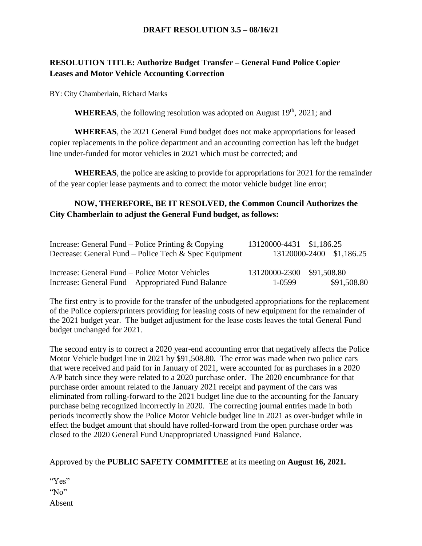### **DRAFT RESOLUTION 3.5 – 08/16/21**

# **RESOLUTION TITLE: Authorize Budget Transfer – General Fund Police Copier Leases and Motor Vehicle Accounting Correction**

BY: City Chamberlain, Richard Marks

WHEREAS, the following resolution was adopted on August 19<sup>th</sup>, 2021; and

**WHEREAS**, the 2021 General Fund budget does not make appropriations for leased copier replacements in the police department and an accounting correction has left the budget line under-funded for motor vehicles in 2021 which must be corrected; and

**WHEREAS**, the police are asking to provide for appropriations for 2021 for the remainder of the year copier lease payments and to correct the motor vehicle budget line error;

# **NOW, THEREFORE, BE IT RESOLVED, the Common Council Authorizes the City Chamberlain to adjust the General Fund budget, as follows:**

| Increase: General Fund – Police Printing $& \text{Copying}$ | 13120000-4431 \$1,186.25  |                          |
|-------------------------------------------------------------|---------------------------|--------------------------|
| Decrease: General Fund – Police Tech & Spec Equipment       |                           | 13120000-2400 \$1,186.25 |
| Increase: General Fund – Police Motor Vehicles              | 13120000-2300 \$91,508.80 |                          |
| Increase: General Fund – Appropriated Fund Balance          | 1-0599                    | \$91,508.80              |

The first entry is to provide for the transfer of the unbudgeted appropriations for the replacement of the Police copiers/printers providing for leasing costs of new equipment for the remainder of the 2021 budget year. The budget adjustment for the lease costs leaves the total General Fund budget unchanged for 2021.

The second entry is to correct a 2020 year-end accounting error that negatively affects the Police Motor Vehicle budget line in 2021 by \$91,508.80. The error was made when two police cars that were received and paid for in January of 2021, were accounted for as purchases in a 2020 A/P batch since they were related to a 2020 purchase order. The 2020 encumbrance for that purchase order amount related to the January 2021 receipt and payment of the cars was eliminated from rolling-forward to the 2021 budget line due to the accounting for the January purchase being recognized incorrectly in 2020. The correcting journal entries made in both periods incorrectly show the Police Motor Vehicle budget line in 2021 as over-budget while in effect the budget amount that should have rolled-forward from the open purchase order was closed to the 2020 General Fund Unappropriated Unassigned Fund Balance.

### Approved by the **PUBLIC SAFETY COMMITTEE** at its meeting on **August 16, 2021.**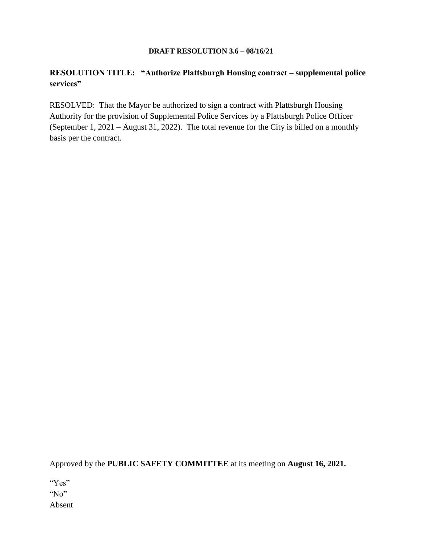#### **DRAFT RESOLUTION 3.6 – 08/16/21**

### **RESOLUTION TITLE: "Authorize Plattsburgh Housing contract – supplemental police services"**

RESOLVED: That the Mayor be authorized to sign a contract with Plattsburgh Housing Authority for the provision of Supplemental Police Services by a Plattsburgh Police Officer (September 1, 2021 – August 31, 2022). The total revenue for the City is billed on a monthly basis per the contract.

Approved by the **PUBLIC SAFETY COMMITTEE** at its meeting on **August 16, 2021.**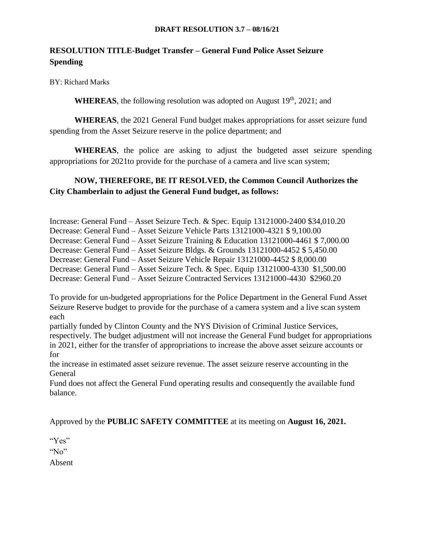#### **DRAFT RESOLUTION 3.7 – 08/16/21**

# **RESOLUTION TITLE-Budget Transfer – General Fund Police Asset Seizure Spending**

BY: Richard Marks

**WHEREAS**, the following resolution was adopted on August  $19<sup>th</sup>$ , 2021; and

**WHEREAS**, the 2021 General Fund budget makes appropriations for asset seizure fund spending from the Asset Seizure reserve in the police department; and

**WHEREAS**, the police are asking to adjust the budgeted asset seizure spending appropriations for 2021to provide for the purchase of a camera and live scan system;

# **NOW, THEREFORE, BE IT RESOLVED, the Common Council Authorizes the City Chamberlain to adjust the General Fund budget, as follows:**

Increase: General Fund – Asset Seizure Tech. & Spec. Equip 13121000-2400 \$34,010.20 Decrease: General Fund – Asset Seizure Vehicle Parts 13121000-4321 \$ 9,100.00 Decrease: General Fund – Asset Seizure Training & Education 13121000-4461 \$ 7,000.00 Decrease: General Fund – Asset Seizure Bldgs. & Grounds 13121000-4452 \$ 5,450.00 Decrease: General Fund – Asset Seizure Vehicle Repair 13121000-4452 \$ 8,000.00 Decrease: General Fund – Asset Seizure Tech. & Spec. Equip 13121000-4330 \$1,500.00 Decrease: General Fund – Asset Seizure Contracted Services 13121000-4430 \$2960.20

To provide for un-budgeted appropriations for the Police Department in the General Fund Asset Seizure Reserve budget to provide for the purchase of a camera system and a live scan system each

partially funded by Clinton County and the NYS Division of Criminal Justice Services, respectively. The budget adjustment will not increase the General Fund budget for appropriations in 2021, either for the transfer of appropriations to increase the above asset seizure accounts or for

the increase in estimated asset seizure revenue. The asset seizure reserve accounting in the General

Fund does not affect the General Fund operating results and consequently the available fund balance.

Approved by the **PUBLIC SAFETY COMMITTEE** at its meeting on **August 16, 2021.**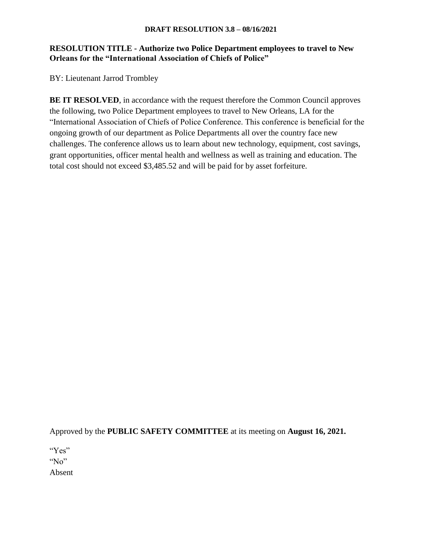#### **DRAFT RESOLUTION 3.8 – 08/16/2021**

### **RESOLUTION TITLE - Authorize two Police Department employees to travel to New Orleans for the "International Association of Chiefs of Police"**

BY: Lieutenant Jarrod Trombley

**BE IT RESOLVED**, in accordance with the request therefore the Common Council approves the following, two Police Department employees to travel to New Orleans, LA for the "International Association of Chiefs of Police Conference. This conference is beneficial for the ongoing growth of our department as Police Departments all over the country face new challenges. The conference allows us to learn about new technology, equipment, cost savings, grant opportunities, officer mental health and wellness as well as training and education. The total cost should not exceed \$3,485.52 and will be paid for by asset forfeiture.

Approved by the **PUBLIC SAFETY COMMITTEE** at its meeting on **August 16, 2021.**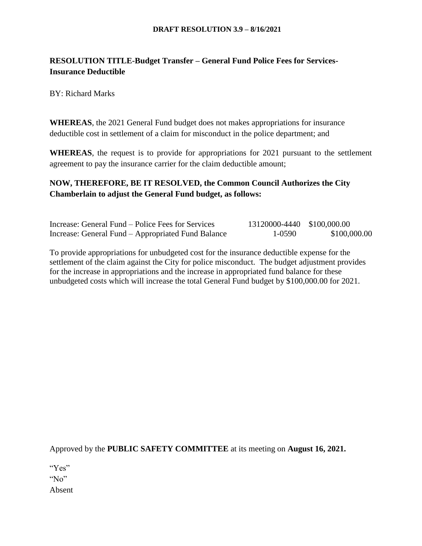## **RESOLUTION TITLE-Budget Transfer – General Fund Police Fees for Services-Insurance Deductible**

BY: Richard Marks

**WHEREAS**, the 2021 General Fund budget does not makes appropriations for insurance deductible cost in settlement of a claim for misconduct in the police department; and

**WHEREAS**, the request is to provide for appropriations for 2021 pursuant to the settlement agreement to pay the insurance carrier for the claim deductible amount;

## **NOW, THEREFORE, BE IT RESOLVED, the Common Council Authorizes the City Chamberlain to adjust the General Fund budget, as follows:**

| Increase: General Fund – Police Fees for Services  | 13120000-4440 \$100,000.00 |              |
|----------------------------------------------------|----------------------------|--------------|
| Increase: General Fund – Appropriated Fund Balance | 1-0590                     | \$100,000.00 |

To provide appropriations for unbudgeted cost for the insurance deductible expense for the settlement of the claim against the City for police misconduct. The budget adjustment provides for the increase in appropriations and the increase in appropriated fund balance for these unbudgeted costs which will increase the total General Fund budget by \$100,000.00 for 2021.

Approved by the **PUBLIC SAFETY COMMITTEE** at its meeting on **August 16, 2021.**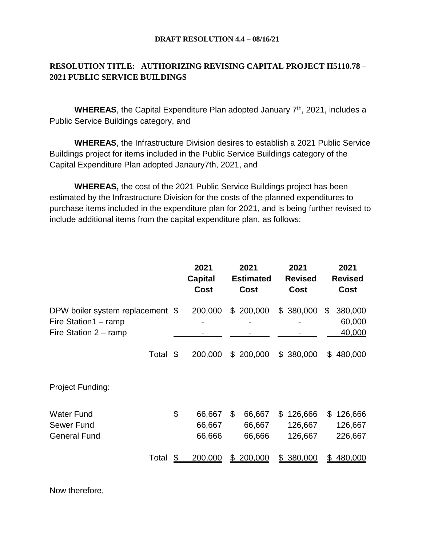#### **DRAFT RESOLUTION 4.4 – 08/16/21**

# **RESOLUTION TITLE: AUTHORIZING REVISING CAPITAL PROJECT H5110.78 – 2021 PUBLIC SERVICE BUILDINGS**

WHEREAS, the Capital Expenditure Plan adopted January 7<sup>th</sup>, 2021, includes a Public Service Buildings category, and

**WHEREAS**, the Infrastructure Division desires to establish a 2021 Public Service Buildings project for items included in the Public Service Buildings category of the Capital Expenditure Plan adopted Janaury7th, 2021, and

**WHEREAS,** the cost of the 2021 Public Service Buildings project has been estimated by the Infrastructure Division for the costs of the planned expenditures to purchase items included in the expenditure plan for 2021, and is being further revised to include additional items from the capital expenditure plan, as follows:

|                                                                                            | 2021<br><b>Capital</b><br><b>Cost</b> | 2021<br><b>Estimated</b><br>Cost | 2021<br><b>Revised</b><br>Cost      | 2021<br><b>Revised</b><br>Cost      |
|--------------------------------------------------------------------------------------------|---------------------------------------|----------------------------------|-------------------------------------|-------------------------------------|
| DPW boiler system replacement \$<br>Fire Station1 - ramp<br>Fire Station $2 - \text{ramp}$ | 200,000                               | \$200,000                        | 380,000<br>\$                       | 380,000<br>\$<br>60,000<br>40,000   |
| Total                                                                                      | \$<br>200,000                         | 200,000<br>\$                    | \$380,000                           | \$480,000                           |
| Project Funding:                                                                           |                                       |                                  |                                     |                                     |
| <b>Water Fund</b><br>Sewer Fund<br><b>General Fund</b>                                     | \$<br>66,667<br>66,667<br>66,666      | \$<br>66,667<br>66,667<br>66,666 | 126,666<br>\$<br>126,667<br>126,667 | 126,666<br>\$<br>126,667<br>226,667 |
| Total                                                                                      | 200,000                               | 200,000                          | 380,000<br>\$.                      | 480,000                             |

Now therefore,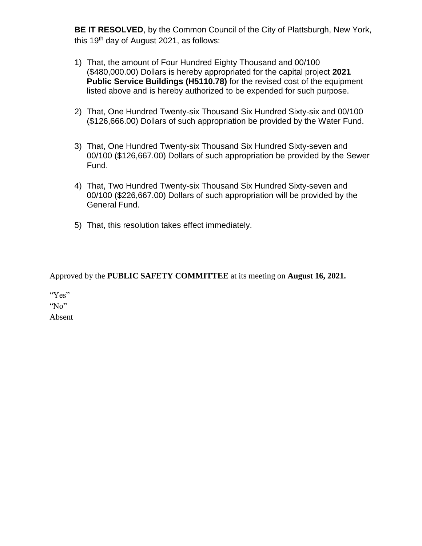**BE IT RESOLVED**, by the Common Council of the City of Plattsburgh, New York, this 19<sup>th</sup> day of August 2021, as follows:

- 1) That, the amount of Four Hundred Eighty Thousand and 00/100 (\$480,000.00) Dollars is hereby appropriated for the capital project **2021 Public Service Buildings (H5110.78)** for the revised cost of the equipment listed above and is hereby authorized to be expended for such purpose.
- 2) That, One Hundred Twenty-six Thousand Six Hundred Sixty-six and 00/100 (\$126,666.00) Dollars of such appropriation be provided by the Water Fund.
- 3) That, One Hundred Twenty-six Thousand Six Hundred Sixty-seven and 00/100 (\$126,667.00) Dollars of such appropriation be provided by the Sewer Fund.
- 4) That, Two Hundred Twenty-six Thousand Six Hundred Sixty-seven and 00/100 (\$226,667.00) Dollars of such appropriation will be provided by the General Fund.
- 5) That, this resolution takes effect immediately.

Approved by the **PUBLIC SAFETY COMMITTEE** at its meeting on **August 16, 2021.**